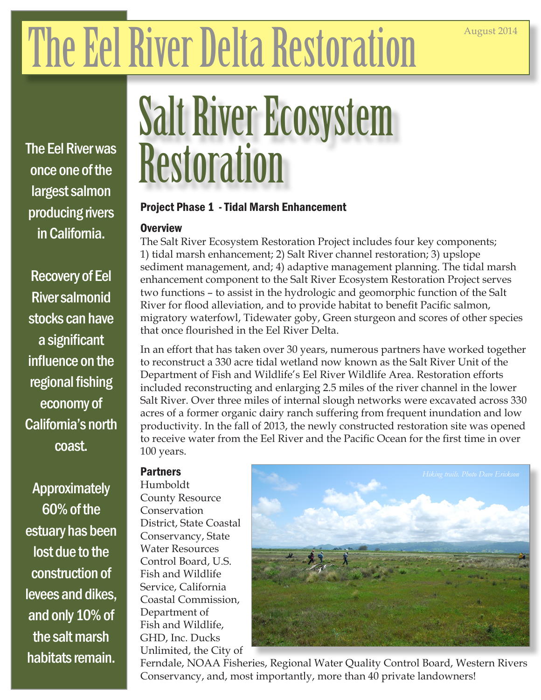# The Eel River Delta Restoration

The Eel River was once one of the largest salmon producing rivers in California.

Recovery of Eel River salmonid stocks can have a significant influence on the regional fishing economy of California's north coast.

Approximately 60% of the estuary has been lost due to the construction of levees and dikes, and only 10% of the salt marsh habitats remain.

## Salt River Ecosystem **Restoration**

#### Project Phase 1 - Tidal Marsh Enhancement

#### **Overview**

The Salt River Ecosystem Restoration Project includes four key components; 1) tidal marsh enhancement; 2) Salt River channel restoration; 3) upslope sediment management, and; 4) adaptive management planning. The tidal marsh enhancement component to the Salt River Ecosystem Restoration Project serves two functions – to assist in the hydrologic and geomorphic function of the Salt River for flood alleviation, and to provide habitat to benefit Pacific salmon, migratory waterfowl, Tidewater goby, Green sturgeon and scores of other species that once flourished in the Eel River Delta.

In an effort that has taken over 30 years, numerous partners have worked together to reconstruct a 330 acre tidal wetland now known as the Salt River Unit of the Department of Fish and Wildlife's Eel River Wildlife Area. Restoration efforts included reconstructing and enlarging 2.5 miles of the river channel in the lower Salt River. Over three miles of internal slough networks were excavated across 330 acres of a former organic dairy ranch suffering from frequent inundation and low productivity. In the fall of 2013, the newly constructed restoration site was opened to receive water from the Eel River and the Pacific Ocean for the first time in over 100 years.

#### **Partners**

Humboldt County Resource Conservation District, State Coastal Conservancy, State Water Resources Control Board, U.S. Fish and Wildlife Service, California Coastal Commission, Department of Fish and Wildlife, GHD, Inc. Ducks Unlimited, the City of



Ferndale, NOAA Fisheries, Regional Water Quality Control Board, Western Rivers Conservancy, and, most importantly, more than 40 private landowners!